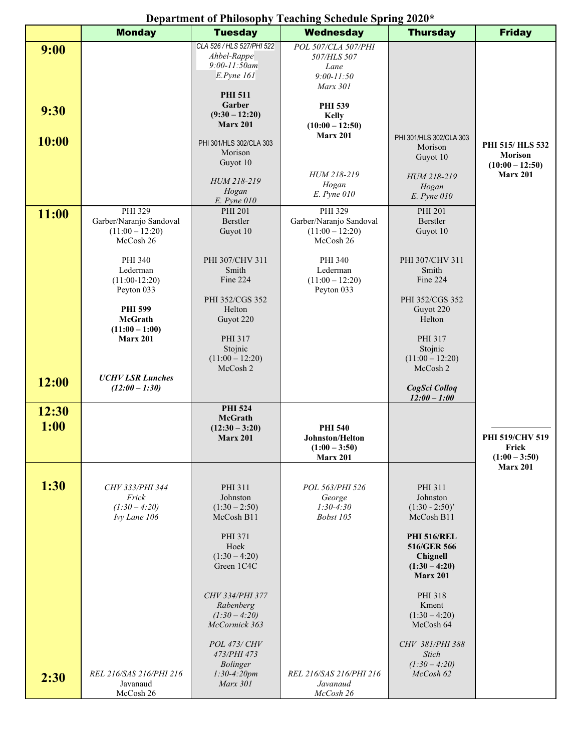## **Department of Philosophy Teaching Schedule Spring 2020\***

|                       | <b>Monday</b>                                                                                                                                                                                    | <b>Tuesday</b>                                                                                                                                                                                                                                              | <b>Wednesday</b>                                                                                                                                                                          | <b>Thursday</b>                                                                                                                                                                                                                                                    | <b>Friday</b>                                                             |
|-----------------------|--------------------------------------------------------------------------------------------------------------------------------------------------------------------------------------------------|-------------------------------------------------------------------------------------------------------------------------------------------------------------------------------------------------------------------------------------------------------------|-------------------------------------------------------------------------------------------------------------------------------------------------------------------------------------------|--------------------------------------------------------------------------------------------------------------------------------------------------------------------------------------------------------------------------------------------------------------------|---------------------------------------------------------------------------|
| 9:00<br>9:30<br>10:00 |                                                                                                                                                                                                  | CLA 526 / HLS 527/PHI 522<br>Ahbel-Rappe<br>$9:00 - 11:50$ am<br>$E.P$ yne $161$<br><b>PHI 511</b><br>Garber<br>$(9:30 - 12:20)$<br><b>Marx 201</b><br>PHI 301/HLS 302/CLA 303<br>Morison<br>Guyot 10<br>HUM 218-219<br>Hogan                               | POL 507/CLA 507/PHI<br>507/HLS 507<br>Lane<br>$9:00 - 11:50$<br>Marx 301<br><b>PHI 539</b><br><b>Kelly</b><br>$(10:00 - 12:50)$<br><b>Marx 201</b><br>HUM 218-219<br>Hogan<br>E. Pyne 010 | PHI 301/HLS 302/CLA 303<br>Morison<br>Guyot 10<br>HUM 218-219<br>Hogan<br>$E.$ Pyne $010$                                                                                                                                                                          | PHI 515/HLS 532<br><b>Morison</b><br>$(10:00 - 12:50)$<br><b>Marx 201</b> |
| 11:00                 | PHI 329<br>Garber/Naranjo Sandoval<br>$(11:00 - 12:20)$<br>McCosh 26<br>PHI 340<br>Lederman<br>$(11:00-12:20)$<br>Peyton 033<br><b>PHI 599</b><br>McGrath<br>$(11:00 - 1:00)$<br><b>Marx 201</b> | E. Pyne 010<br><b>PHI 201</b><br>Berstler<br>Guyot 10<br>PHI 307/CHV 311<br>Smith<br>Fine 224<br>PHI 352/CGS 352<br>Helton<br>Guyot 220<br>PHI 317<br>Stojnic<br>$(11:00 - 12:20)$<br>McCosh 2                                                              | PHI 329<br>Garber/Naranjo Sandoval<br>$(11:00 - 12:20)$<br>McCosh 26<br>PHI 340<br>Lederman<br>$(11:00 - 12:20)$<br>Peyton 033                                                            | PHI 201<br>Berstler<br>Guyot 10<br>PHI 307/CHV 311<br>Smith<br>Fine 224<br>PHI 352/CGS 352<br>Guyot 220<br>Helton<br>PHI 317<br>Stojnic<br>$(11:00 - 12:20)$<br>McCosh 2                                                                                           |                                                                           |
| 12:00                 | <b>UCHV LSR Lunches</b><br>$(12:00 - 1:30)$                                                                                                                                                      |                                                                                                                                                                                                                                                             |                                                                                                                                                                                           | CogSci Colloq<br>$12:00 - 1:00$                                                                                                                                                                                                                                    |                                                                           |
| 12:30<br>1:00         |                                                                                                                                                                                                  | <b>PHI 524</b><br><b>McGrath</b><br>$(12:30 - 3:20)$<br><b>Marx 201</b>                                                                                                                                                                                     | <b>PHI 540</b><br>Johnston/Helton<br>$(1:00 - 3:50)$<br><b>Marx 201</b>                                                                                                                   |                                                                                                                                                                                                                                                                    | PHI 519/CHV 519<br>Frick<br>$(1:00 - 3:50)$                               |
| 1:30<br>2:30          | CHV 333/PHI 344<br>Frick<br>$(1:30-4:20)$<br>Ivy Lane 106<br>REL 216/SAS 216/PHI 216<br>Javanaud<br>McCosh 26                                                                                    | PHI 311<br>Johnston<br>$(1:30 - 2:50)$<br>McCosh B11<br>PHI 371<br>Hoek<br>$(1:30 - 4:20)$<br>Green 1C4C<br>CHV 334/PHI 377<br>Rabenberg<br>$(1:30 - 4:20)$<br>McCormick 363<br><b>POL 473/ CHV</b><br>473/PHI 473<br>Bolinger<br>$1:30-4:20pm$<br>Marx 301 | POL 563/PHI 526<br>George<br>$1:30-4:30$<br>Bobst 105<br>REL 216/SAS 216/PHI 216<br>Javanaud<br>McCosh 26                                                                                 | PHI 311<br>Johnston<br>$(1:30 - 2:50)$<br>McCosh B11<br><b>PHI 516/REL</b><br>516/GER 566<br>Chignell<br>$(1:30 - 4:20)$<br><b>Marx 201</b><br>PHI 318<br>Kment<br>$(1:30 - 4:20)$<br>McCosh 64<br>CHV 381/PHI 388<br><b>Stich</b><br>$(1:30 - 4:20)$<br>McCosh 62 | <b>Marx 201</b>                                                           |